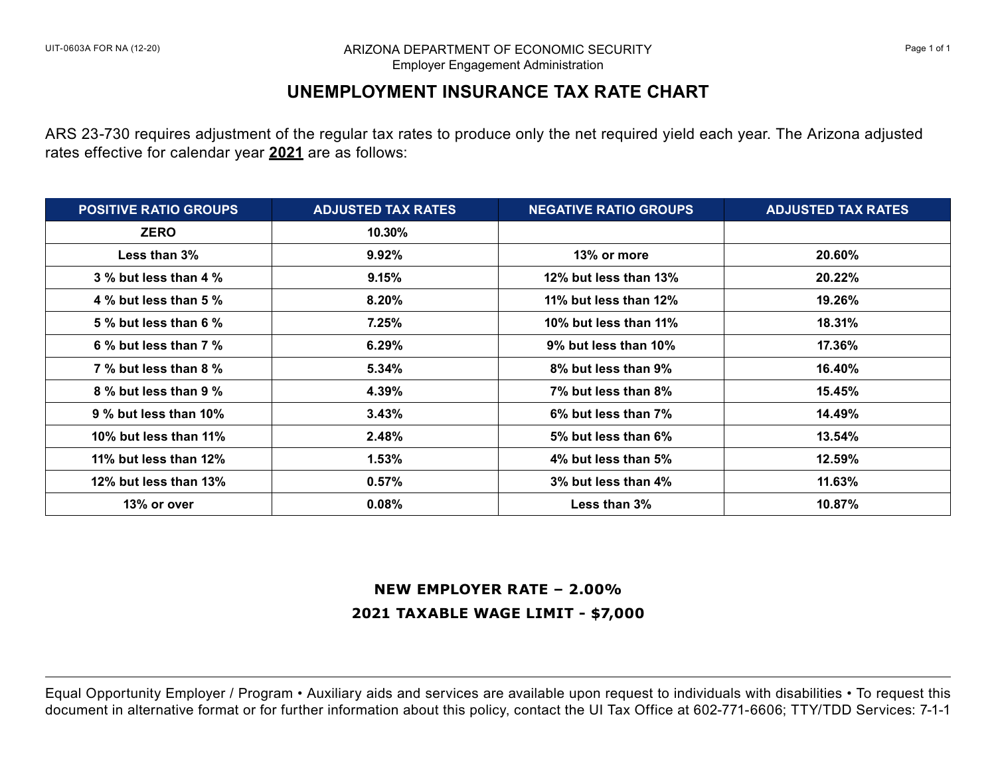#### UIT-0603A FOR NA (12-20) **Example 1 ARIZONA DEPARTMENT OF ECONOMIC SECURITY And ARIZON** Page 1 of 1 Employer Engagement Administration

# **UNEMPLOYMENT INSURANCE TAX RATE CHART**

ARS 23-730 requires adjustment of the regular tax rates to produce only the net required yield each year. The Arizona adjusted rates effective for calendar year **2021** are as follows:

| <b>POSITIVE RATIO GROUPS</b> | <b>ADJUSTED TAX RATES</b> | <b>NEGATIVE RATIO GROUPS</b> | <b>ADJUSTED TAX RATES</b> |
|------------------------------|---------------------------|------------------------------|---------------------------|
| <b>ZERO</b>                  | 10.30%                    |                              |                           |
| Less than $3\%$              | 9.92%                     | 13% or more                  | 20.60%                    |
| $3\%$ but less than 4 $\%$   | 9.15%                     | 12% but less than 13%        | 20.22%                    |
| 4 % but less than 5 %        | 8.20%                     | 11% but less than 12%        | 19.26%                    |
| 5 % but less than 6 %        | 7.25%                     | 10% but less than 11%        | 18.31%                    |
| 6 % but less than 7 %        | 6.29%                     | 9% but less than 10%         | 17.36%                    |
| 7 % but less than 8 %        | 5.34%                     | 8% but less than 9%          | 16.40%                    |
| 8 % but less than 9 %        | 4.39%                     | 7% but less than 8%          | $15.45\%$                 |
| 9 % but less than 10%        | 3.43%                     | 6% but less than 7%          | 14.49%                    |
| 10% but less than 11%        | 2.48%                     | 5% but less than 6%          | $13.54\%$                 |
| 11% but less than 12%        | 1.53%                     | 4% but less than 5%          | 12.59%                    |
| 12% but less than 13%        | 0.57%                     | 3% but less than 4%          | 11.63%                    |
| 13% or over                  | 0.08%                     | Less than $3\%$              | 10.87%                    |

# **NEW EMPLOYER RATE – 2.00% 2021 TAXABLE WAGE LIMIT - \$7,000**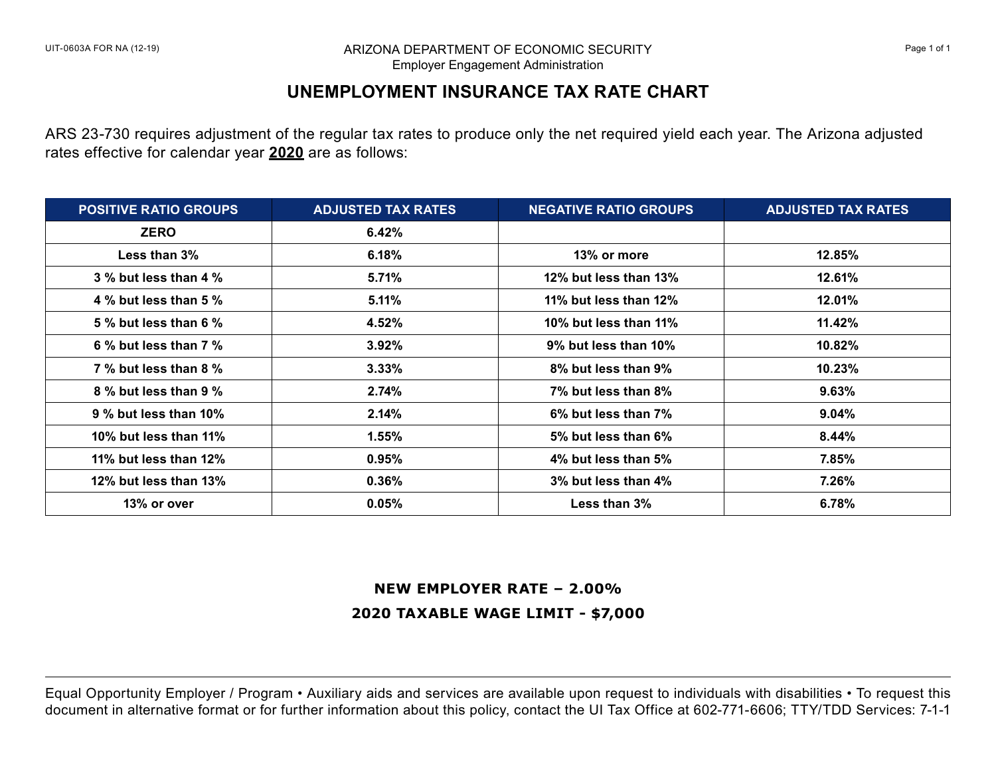#### UIT-0603A FOR NA (12-19) **ARIZONA DEPARTMENT OF ECONOMIC SECURITY And ACCOLL ACCOLL Page 1 of 1** Page 1 of 1 Employer Engagement Administration

# **UNEMPLOYMENT INSURANCE TAX RATE CHART**

ARS 23-730 requires adjustment of the regular tax rates to produce only the net required yield each year. The Arizona adjusted rates effective for calendar year **2020** are as follows:

| <b>POSITIVE RATIO GROUPS</b> | <b>ADJUSTED TAX RATES</b> | <b>NEGATIVE RATIO GROUPS</b> | <b>ADJUSTED TAX RATES</b> |
|------------------------------|---------------------------|------------------------------|---------------------------|
| <b>ZERO</b>                  | 6.42%                     |                              |                           |
| Less than 3%                 | 6.18%                     | 13% or more                  | 12.85%                    |
| 3 % but less than 4 %        | 5.71%                     | 12% but less than 13%        | 12.61%                    |
| 4 % but less than 5 %        | 5.11%                     | 11% but less than 12%        | 12.01%                    |
| 5 % but less than 6 %        | 4.52%                     | 10% but less than 11%        | 11.42%                    |
| 6 % but less than $7\%$      | 3.92%                     | 9% but less than 10%         | 10.82%                    |
| 7 % but less than 8 %        | 3.33%                     | 8% but less than 9%          | 10.23%                    |
| 8 % but less than 9 %        | 2.74%                     | 7% but less than 8%          | 9.63%                     |
| $9\%$ but less than 10%      | 2.14%                     | 6% but less than 7%          | $9.04\%$                  |
| 10% but less than 11%        | 1.55%                     | 5% but less than 6%          | 8.44%                     |
| 11% but less than 12%        | 0.95%                     | 4% but less than 5%          | 7.85%                     |
| 12% but less than 13%        | 0.36%                     | 3% but less than 4%          | 7.26%                     |
| 13% or over                  | 0.05%                     | Less than 3%                 | 6.78%                     |

### **NEW EMPLOYER RATE – 2.00%**

## **2020 TAXABLE WAGE LIMIT - \$7,000**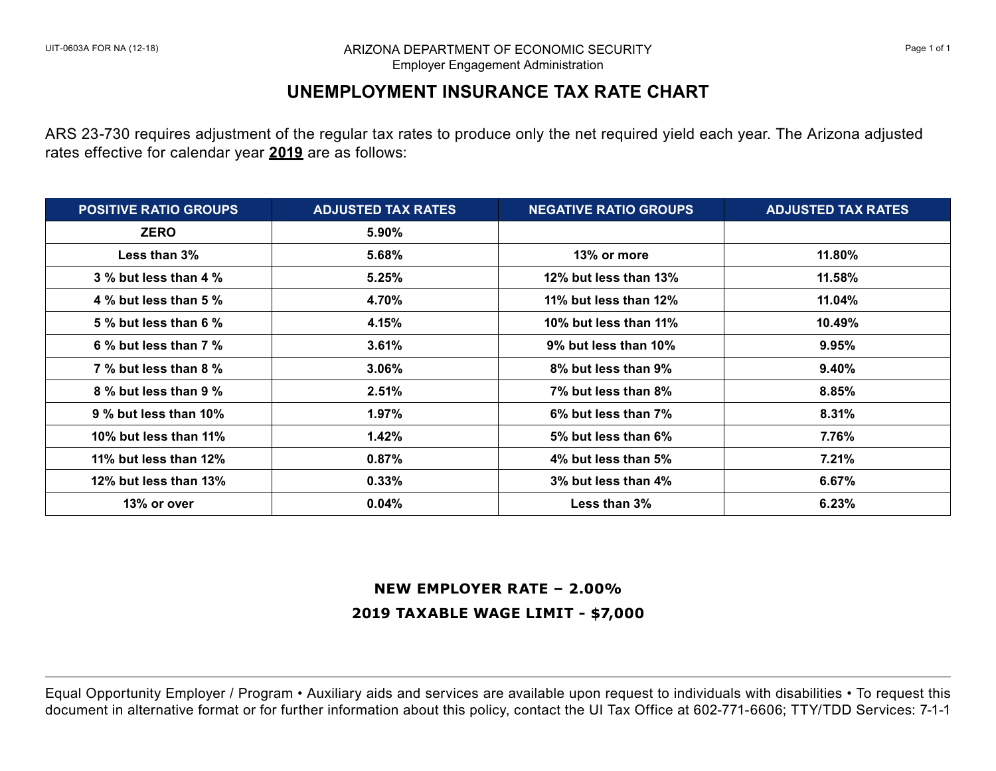#### ARIZONA DEPARTMENT OF ECONOMIC SECURITY **Example 2** and the state of 1 and 2 and 2 and 2 and 2 and 2 and 2 and 2 and 2 and 2 and 2 and 2 and 2 and 2 and 2 and 2 and 2 and 2 and 2 and 2 and 2 and 2 and 2 and 2 and 2 and 2 a Employer Engagement Administration

# **UNEMPLOYMENT INSURANCE TAX RATE CHART**

ARS 23-730 requires adjustment of the regular tax rates to produce only the net required yield each year. The Arizona adjusted rates effective for calendar year **2019** are as follows:

| <b>POSITIVE RATIO GROUPS</b> | <b>ADJUSTED TAX RATES</b> | <b>NEGATIVE RATIO GROUPS</b> | <b>ADJUSTED TAX RATES</b> |
|------------------------------|---------------------------|------------------------------|---------------------------|
| <b>ZERO</b>                  | 5.90%                     |                              |                           |
| Less than $3\%$              | 5.68%                     | 13% or more                  | 11.80%                    |
| $3\%$ but less than 4 $\%$   | 5.25%                     | 12% but less than 13%        | $11.58\%$                 |
| 4 % but less than 5 %        | 4.70%                     | 11% but less than 12%        | 11.04%                    |
| 5 % but less than 6 %        | 4.15%                     | 10% but less than 11%        | $10.49\%$                 |
| 6 % but less than $7\%$      | 3.61%                     | 9% but less than 10%         | 9.95%                     |
| 7 % but less than 8 %        | $3.06\%$                  | 8% but less than 9%          | 9.40%                     |
| 8 % but less than 9 %        | 2.51%                     | 7% but less than 8%          | 8.85%                     |
| 9 % but less than 10%        | $1.97\%$                  | 6% but less than 7%          | 8.31%                     |
| 10% but less than 11%        | 1.42%                     | 5% but less than 6%          | 7.76%                     |
| 11% but less than 12%        | 0.87%                     | 4% but less than 5%          | 7.21%                     |
| 12% but less than 13%        | 0.33%                     | 3% but less than 4%          | 6.67%                     |
| 13% or over                  | 0.04%                     | Less than $3\%$              | 6.23%                     |

### **NEW EMPLOYER RATE – 2.00%**

## **2019 TAXABLE WAGE LIMIT - \$7,000**